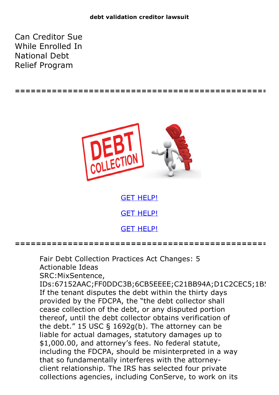Can Creditor Sue While Enrolled In National Debt Relief Program





GET [HELP!](https://runpdf.xyz/pdf) GET [HELP!](https://runpdf.xyz/pdf) GET [HELP!](https://runpdf.xyz/pdf)

**================================================**

Fair Debt Collection Practices Act Changes: 5 Actionable Ideas SRC:MixSentence, IDs:67152AAC;FF0DDC3B;6CB5EEEE;C21BB94A;D1C2CEC5;1B! If the tenant disputes the debt within the thirty days provided by the FDCPA, the "the debt collector shall cease collection of the debt, or any disputed portion thereof, until the debt collector obtains verification of the debt." 15 USC § 1692g(b). The attorney can be liable for actual damages, statutory damages up to \$1,000.00, and attorney's fees. No federal statute, including the FDCPA, should be misinterpreted in a way that so fundamentally interferes with the attorneyclient relationship. The IRS has selected four private collections agencies, including ConServe, to work on its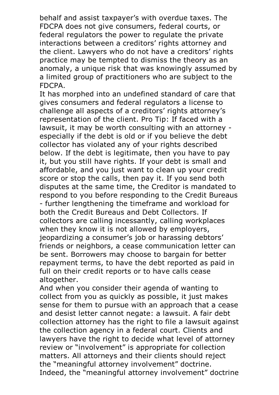behalf and assist taxpayer's with overdue taxes. The FDCPA does not give consumers, federal courts, or federal regulators the power to regulate the private interactions between a creditors' rights attorney and the client. Lawyers who do not have a creditors' rights practice may be tempted to dismiss the theory as an anomaly, a unique risk that was knowingly assumed by a limited group of practitioners who are subject to the FDCPA.

It has morphed into an undefined standard of care that gives consumers and federal regulators a license to challenge all aspects of a creditors' rights attorney's representation of the client. Pro Tip: If faced with a lawsuit, it may be worth consulting with an attorney especially if the debt is old or if you believe the debt collector has violated any of your rights described below. If the debt is legitimate, then you have to pay it, but you still have rights. If your debt is small and affordable, and you just want to clean up your credit score or stop the calls, then pay it. If you send both disputes at the same time, the Creditor is mandated to respond to you before responding to the Credit Bureaus - further lengthening the timeframe and workload for both the Credit Bureaus and Debt Collectors. If collectors are calling incessantly, calling workplaces when they know it is not allowed by employers, jeopardizing a consumer's job or harassing debtors' friends or neighbors, a cease communication letter can be sent. Borrowers may choose to bargain for better repayment terms, to have the debt reported as paid in full on their credit reports or to have calls cease altogether.<br>And when you consider their agenda of wanting to

collect from you as quickly as possible, it just makes sense for them to pursue with an approach that a cease and desist letter cannot negate: a lawsuit. A fair debt collection attorney has the right to file a lawsuit against the collection agency in a federal court. Clients and lawyers have the right to decide what level of attorney review or "involvement" is appropriate for collection matters. All attorneys and their clients should reject the "meaningful attorney involvement" doctrine. Indeed, the "meaningful attorney involvement" doctrine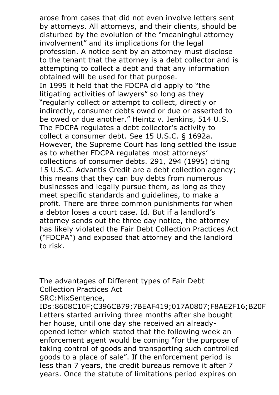arose from cases that did not even involve letters sent by attorneys. All attorneys, and their clients, should be disturbed by the evolution of the "meaningful attorney involvement" and its implications for the legal profession. A notice sent by an attorney must disclose to the tenant that the attorney is a debt collector and is attempting to collect a debt and that any information obtained will be used for that purpose. In 1995 it held that the FDCPA did apply to "the litigating activities of lawyers" so long as they "regularly collect or attempt to collect, directly or indirectly, consumer debts owed or due or asserted to be owed or due another." Heintz v. Jenkins, <sup>514</sup> U.S. The FDCPA regulates <sup>a</sup> debt collector's activity to collect <sup>a</sup> consumer debt. See <sup>15</sup> U.S.C. § 1692a. However, the Supreme Court has long settled the issue as to whether FDCPA regulates most attorneys' collections of consumer debts. 291, 294 (1995) citing 15 U.S.C. Advantis Credit are a debt collection agency; this means that they can buy debts from numerous businesses and legally pursue them, as long as they meet specific standards and guidelines, to make a profit. There are three common punishments for when a debtor loses a court case. Id. But if a landlord's attorney sends out the three day notice, the attorney has likely violated the Fair Debt Collection Practices Act ("FDCPA") and exposed that attorney and the landlord to risk.

The advantages of Different types of Fair Debt Collection Practices Act SRC:MixSentence,

IDs:8608C10F;C396CB79;7BEAF419;017A0807;F8AE2F16;B20F Letters started arriving three months after she bought her house, until one day she received an alreadyopened letter which stated that the following week an enforcement agent would be coming "for the purpose of taking control of goods and transporting such controlled goods to a place of sale". If the enforcement period is less than 7 years, the credit bureaus remove it after 7 years. Once the statute of limitations period expires on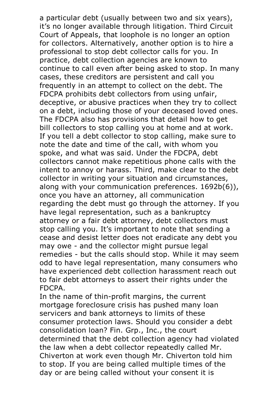a particular debt (usually between two and six years), it's no longer available through litigation. Third Circuit Court of Appeals, that loophole is no longer an option for collectors. Alternatively, another option is to hire a professional to stop debt collector calls for you. In practice, debt collection agencies are known to continue to call even after being asked to stop. In many cases, these creditors are persistent and call you frequently in an attempt to collect on the debt. The FDCPA prohibits debt collectors from using unfair, deceptive, or abusive practices when they try to collect on <sup>a</sup> debt, including those of your deceased loved ones. The FDCPA also has provisions that detail how to get bill collectors to stop calling you at home and at work. If you tell a debt collector to stop calling, make sure to note the date and time of the call, with whom you spoke, and what was said. Under the FDCPA, debt collectors cannot make repetitious phone calls with the intent to annoy or harass. Third, make clear to the debt collector in writing your situation and circumstances, along with your communication preferences. 1692b(6)), once you have an attorney, all communication regarding the debt must go through the attorney. If you have legal representation, such as a bankruptcy attorney or a fair debt attorney, debt collectors must stop calling you. It's important to note that sending a cease and desist letter does not eradicate any debt you may owe - and the collector might pursue legal remedies - but the calls should stop. While it may seem odd to have legal representation, many consumers who have experienced debt collection harassment reach out to fair debt attorneys to assert their rights under the FDCPA.

In the name of thin-profit margins, the current mortgage foreclosure crisis has pushed many loan servicers and bank attorneys to limits of these consumer protection laws. Should you consider a debt consolidation loan? Fin. Grp., Inc., the court determined that the debt collection agency had violated the law when <sup>a</sup> debt collector repeatedly called Mr. Chiverton at work even though Mr. Chiverton told him to stop. If you are being called multiple times of the day or are being called without your consent it is